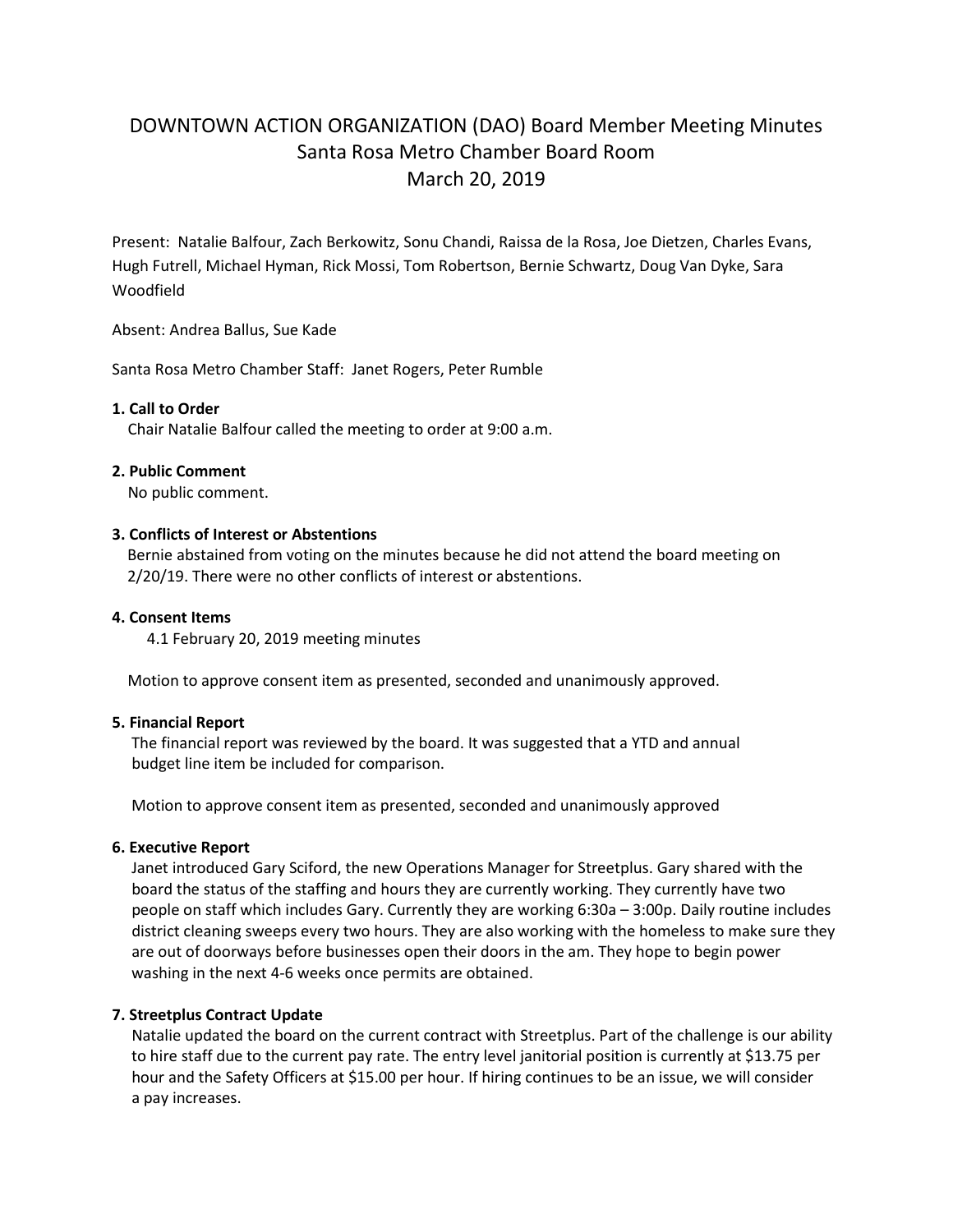# DOWNTOWN ACTION ORGANIZATION (DAO) Board Member Meeting Minutes Santa Rosa Metro Chamber Board Room March 20, 2019

Present: Natalie Balfour, Zach Berkowitz, Sonu Chandi, Raissa de la Rosa, Joe Dietzen, Charles Evans, Hugh Futrell, Michael Hyman, Rick Mossi, Tom Robertson, Bernie Schwartz, Doug Van Dyke, Sara Woodfield

Absent: Andrea Ballus, Sue Kade

Santa Rosa Metro Chamber Staff: Janet Rogers, Peter Rumble

### **1. Call to Order**

Chair Natalie Balfour called the meeting to order at 9:00 a.m.

### **2. Public Comment**

No public comment.

## **3. Conflicts of Interest or Abstentions**

Bernie abstained from voting on the minutes because he did not attend the board meeting on 2/20/19. There were no other conflicts of interest or abstentions.

## **4. Consent Items**

4.1 February 20, 2019 meeting minutes

Motion to approve consent item as presented, seconded and unanimously approved.

### **5. Financial Report**

 The financial report was reviewed by the board. It was suggested that a YTD and annual budget line item be included for comparison.

Motion to approve consent item as presented, seconded and unanimously approved

# **6. Executive Report**

 Janet introduced Gary Sciford, the new Operations Manager for Streetplus. Gary shared with the board the status of the staffing and hours they are currently working. They currently have two people on staff which includes Gary. Currently they are working 6:30a – 3:00p. Daily routine includes district cleaning sweeps every two hours. They are also working with the homeless to make sure they are out of doorways before businesses open their doors in the am. They hope to begin power washing in the next 4-6 weeks once permits are obtained.

# **7. Streetplus Contract Update**

Natalie updated the board on the current contract with Streetplus. Part of the challenge is our ability to hire staff due to the current pay rate. The entry level janitorial position is currently at \$13.75 per hour and the Safety Officers at \$15.00 per hour. If hiring continues to be an issue, we will consider a pay increases.